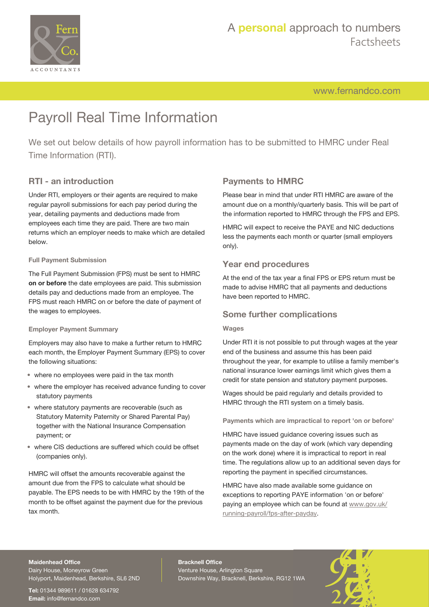

[www.fernandco.com](http://www.fernandco.com)

# Payroll Real Time Information

We set out below details of how payroll information has to be submitted to HMRC under Real Time Information (RTI).

### **RTI - an introduction**

Under RTI, employers or their agents are required to make regular payroll submissions for each pay period during the year, detailing payments and deductions made from employees each time they are paid. There are two main returns which an employer needs to make which are detailed below.

#### **Full Payment Submission**

The Full Payment Submission (FPS) must be sent to HMRC **on or before** the date employees are paid. This submission details pay and deductions made from an employee. The FPS must reach HMRC on or before the date of payment of the wages to employees.

#### **Employer Payment Summary**

Employers may also have to make a further return to HMRC each month, the Employer Payment Summary (EPS) to cover the following situations:

- where no employees were paid in the tax month
- where the employer has received advance funding to cover statutory payments
- where statutory payments are recoverable (such as Statutory Maternity Paternity or Shared Parental Pay) together with the National Insurance Compensation payment; or
- where CIS deductions are suffered which could be offset (companies only).

HMRC will offset the amounts recoverable against the amount due from the FPS to calculate what should be payable. The EPS needs to be with HMRC by the 19th of the month to be offset against the payment due for the previous tax month.

## **Payments to HMRC**

Please bear in mind that under RTI HMRC are aware of the amount due on a monthly/quarterly basis. This will be part of the information reported to HMRC through the FPS and EPS.

HMRC will expect to receive the PAYE and NIC deductions less the payments each month or quarter (small employers only).

#### **Year end procedures**

At the end of the tax year a final FPS or EPS return must be made to advise HMRC that all payments and deductions have been reported to HMRC.

#### **Some further complications**

#### **Wages**

Under RTI it is not possible to put through wages at the year end of the business and assume this has been paid throughout the year, for example to utilise a family member's national insurance lower earnings limit which gives them a credit for state pension and statutory payment purposes.

Wages should be paid regularly and details provided to HMRC through the RTI system on a timely basis.

**Payments which are impractical to report 'on or before'**

HMRC have issued guidance covering issues such as payments made on the day of work (which vary depending on the work done) where it is impractical to report in real time. The regulations allow up to an additional seven days for reporting the payment in specified circumstances.

HMRC have also made available some guidance on exceptions to reporting PAYE information 'on or before' paying an employee which can be found at [www.gov.uk/](https://www.gov.uk/running-payroll/fps-after-payday) [running-payroll/fps-after-payday](https://www.gov.uk/running-payroll/fps-after-payday).

#### **Maidenhead Office**

Dairy House, Moneyrow Green Holyport, Maidenhead, Berkshire, SL6 2ND

**Tel:** 01344 989611 / 01628 634792 **Email:** [info@fernandco.com](mailto:info@fernandco.com)

**Bracknell Office** Venture House, Arlington Square Downshire Way, Bracknell, Berkshire, RG12 1WA